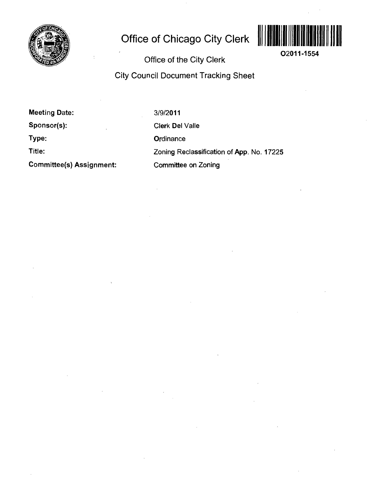

# **Office of Chicago City Clerk**



**O2011-1554** 

**Office of the City Clerk** 

**City Council Document Tracking Sheet** 

**Meeting Date: Sponsor(s): Type: Title:** 

**Committee(s) Assignment:** 

3/9/2011 Clerk Del Valle **Ordinance** Zoning Reclassification of App. No. 17225 Committee on Zoning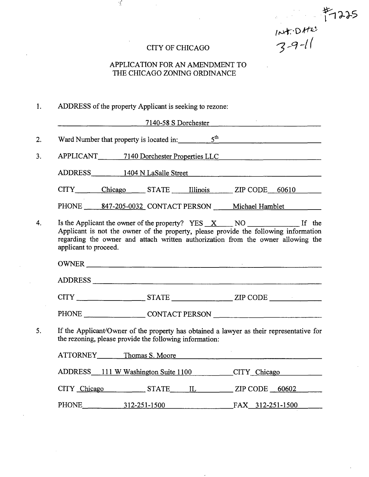$104.0112$ <br>3-9-11

## CITY OF CHICAGO

## APPLICATION FOR AN AMENDMENT TO THE CHICAGO ZONING ORDINANCE

ADDRESS of the property Applicant is seeking to rezone:  $1.$ 

 $\mathcal{I}$ 

|                       |                                                                                                                                                                                                                                                              | 7140-58 S Dorchester |  |
|-----------------------|--------------------------------------------------------------------------------------------------------------------------------------------------------------------------------------------------------------------------------------------------------------|----------------------|--|
|                       | Ward Number that property is located in: $5th$ 6 <sup>th</sup>                                                                                                                                                                                               |                      |  |
|                       | APPLICANT 7140 Dorchester Properties LLC                                                                                                                                                                                                                     |                      |  |
|                       |                                                                                                                                                                                                                                                              |                      |  |
|                       | CITY Chicago STATE Illinois ZIP CODE 60610                                                                                                                                                                                                                   |                      |  |
|                       | PHONE ______847-205-0032_CONTACT PERSON _______ Michael Hamblet                                                                                                                                                                                              |                      |  |
| applicant to proceed. | Is the Applicant the owner of the property? $YES \_ X \_ \N$ NO $\_ \_ \$ If the<br>Applicant is not the owner of the property, please provide the following information<br>regarding the owner and attach written authorization from the owner allowing the |                      |  |
|                       |                                                                                                                                                                                                                                                              |                      |  |
|                       |                                                                                                                                                                                                                                                              |                      |  |
|                       |                                                                                                                                                                                                                                                              |                      |  |
|                       | PHONE CONTACT PERSON                                                                                                                                                                                                                                         |                      |  |
|                       | If the Applicant/Owner of the property has obtained a lawyer as their representative for<br>the rezoning, please provide the following information:                                                                                                          |                      |  |
|                       | ATTORNEY Thomas S. Moore                                                                                                                                                                                                                                     |                      |  |
|                       | ADDRESS 111 W Washington Suite 1100 CITY Chicago                                                                                                                                                                                                             |                      |  |
|                       | CITY Chicago STATE IL ZIP CODE 60602                                                                                                                                                                                                                         |                      |  |
|                       | PHONE 312-251-1500 FAX 312-251-1500                                                                                                                                                                                                                          |                      |  |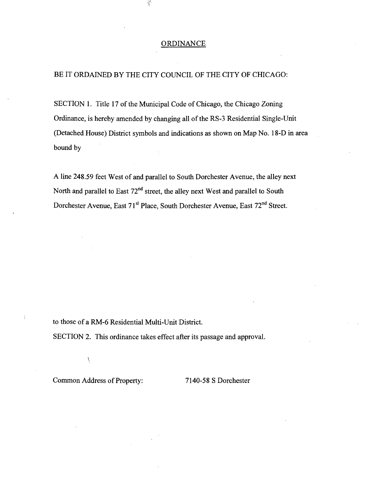#### **ORDINANCE**

## BE IT ORDAINED BY THE CITY COUNCIL OF THE CITY OF CHICAGO:

 $\mathcal{L}$ 

SECTION 1. Title 17 of the Municipal Code of Chicago, the Chicago Zoning Ordinance, is hereby amended by changing all of the RS-3 Residential Single-Unit (Detached House) District symbols and indications as shown on Map No. 18-D in area bound by

A line 248.59 feet West of and parallel to South Dorchester Avenue, the alley next North and parallel to East  $72<sup>nd</sup>$  street, the alley next West and parallel to South Dorchester Avenue, East 71<sup>st</sup> Place, South Dorchester Avenue, East 72<sup>nd</sup> Street.

to those of a RM-6 Residential Multi-Unit District.

SECTION 2. This ordinance takes effect after its passage and approval.

Common Address of Property: 7140-58 S Dorchester

Ÿ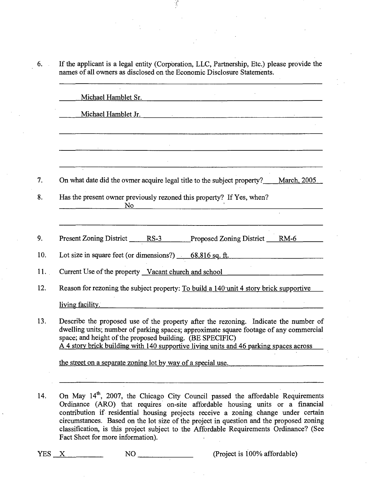If the applicant is a legal entity (Corporation, LLC, Partnership, Etc.) please provide the  $6.$ names of all owners as disclosed on the Economic Disclosure Statements.

| Michael Hamblet Sr.                                                                                                                                                                                                                                                                                                                   |                                                                                                                      |  |
|---------------------------------------------------------------------------------------------------------------------------------------------------------------------------------------------------------------------------------------------------------------------------------------------------------------------------------------|----------------------------------------------------------------------------------------------------------------------|--|
| Michael Hamblet Jr.                                                                                                                                                                                                                                                                                                                   |                                                                                                                      |  |
|                                                                                                                                                                                                                                                                                                                                       |                                                                                                                      |  |
|                                                                                                                                                                                                                                                                                                                                       |                                                                                                                      |  |
|                                                                                                                                                                                                                                                                                                                                       | <u> 2000 - 2000 - 2000 - 2000 - 2000 - 2000 - 2000 - 2000 - 2000 - 2000 - 2000 - 2000 - 2000 - 2000 - 2000 - 200</u> |  |
| On what date did the ovmer acquire legal title to the subject property? March, 2005                                                                                                                                                                                                                                                   |                                                                                                                      |  |
| Has the present owner previously rezoned this property? If Yes, when?<br>No                                                                                                                                                                                                                                                           |                                                                                                                      |  |
|                                                                                                                                                                                                                                                                                                                                       |                                                                                                                      |  |
| Present Zoning District _____ RS-3 _______ Proposed Zoning District ____ RM-6                                                                                                                                                                                                                                                         |                                                                                                                      |  |
| Lot size in square feet (or dimensions?) 68,816 sq. ft.                                                                                                                                                                                                                                                                               |                                                                                                                      |  |
| Current Use of the property Vacant church and school Vacant Current Use of the property Vacant church and school                                                                                                                                                                                                                      |                                                                                                                      |  |
| Reason for rezoning the subject property: To build a 140 unit 4 story brick supportive                                                                                                                                                                                                                                                |                                                                                                                      |  |
| living facility.                                                                                                                                                                                                                                                                                                                      |                                                                                                                      |  |
| Describe the proposed use of the property after the rezoning. Indicate the number of<br>dwelling units; number of parking spaces; approximate square footage of any commercial<br>space; and height of the proposed building. (BE SPECIFIC)<br>A 4 story brick building with 140 supportive living units and 46 parking spaces across |                                                                                                                      |  |
| the street on a separate zoning lot by way of a special use.                                                                                                                                                                                                                                                                          |                                                                                                                      |  |
|                                                                                                                                                                                                                                                                                                                                       |                                                                                                                      |  |

14. On May 14<sup>th</sup>, 2007, the Chicago City Council passed the affordable Requirements Ordinance (ARO) that requires on-site affordable housing units or a financial contribution if residential housing projects receive a zoning change under certain circumstances. Based on the lot size of the project in question and the proposed zoning classification, is this project subject to the Affordable Requirements Ordinance? (See Fact Sheet for more information).

 $YES \t X$  NO (Project is 100% affordable)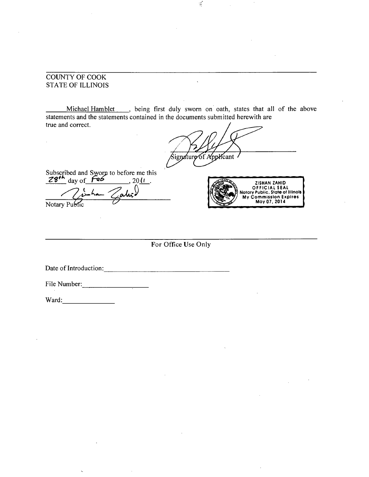## COUNTY OF COOK STATE OF ILLINOIS

Michael Hamblet \_\_\_, being first duly sworn on oath, states that all of the above statements and the statements contained in the documents submitted herewith are true and correct.

 $\mathcal{L}$ 

Signature of Applicant

Subscribed and Swor  $Z^{\mathcal{G}^{\bullet \bullet}}$  day of\_ Sworn to before me this  $, 201$ .

<sup>2</sup>ahr I *y?7^-*

*Notary Pu^»tic ^* 

ZISHAN ZAHID OFFICIAL SEAL Notary Public, State of Illinois My Commissio n Expires May 07, 2014

**For Office Use Only** 

Date of Introduction: University of Introduction:

File Number:

Ward: **Ward: Ward: Ward: Ward: Ward: Ward: Ward: Ward: Ward: Ward: Ward: Ward: Ward: Ward: Ward: Ward: Ward: Ward: Ward: Ward: Ward: Ward: Ward: Ward: Ward: Ward: Ward:**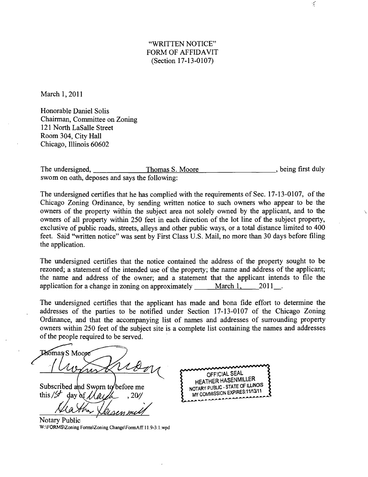"WRITTEN NOTICE" FORM OF AFFIDAVIT (Section 17-13-0107)

March 1,2011

Honorable Daniel Solis Chairman, Committee on Zoning 121 North LaSalle Street Room 304, City Hall Chicago, Illinois 60602

The undersigned, Thomas S. Moore the state of the second being first duly swom on oath, deposes and says the following:

The undersigned certifies that he has complied with the requirements of Sec. 17-13-0107, of the Chicago Zoning Ordinance, by sending written notice to such owners who appear to be the owners of the property within the subject area not solely owned by the applicant, and to the owners of all property within 250 feet in each direction of the lot line of the subject property, exclusive of public roads, streets, alleys and other public ways, or a total distance limited to 400 feet. Said "written notice" was sent by First Class U.S. Mail, no more than 30 days before filing the application.

The undersigned certifies that the notice contained the address of the property sought to be rezoned; a statement of the intended use of the property; the name and address of the applicant; the name and address of the owner; and a statement that the applicant intends to file the application for a change in zoning on approximately  $March 1, 2011$ .

The undersigned certifies that the applicant has made and bona fide effort to determine the addresses of the parties to be notified under Section 17-13-0107 of the Chicago Zoning Ordinance, and that the accompanying list of names and addresses of surrounding property owners within 250 feet of the subject site is a complete list containing the names and addresses of the people required to be served.

**Thomas S Moore** 

Subscribed and Sworn to before me this /st day of  $\lambda$  as the  $.20/$ 

OFFICIALSEAL HEATHER HASENMILLER NOTARY PUBLIC - STATE OF ILLINOIS<br>MY COMMISSION EXPIRES:11/13/11

Notary Public W:\FORMS\Zoning Forms\Zoning Change\FormAff 11.9-3.1.wpd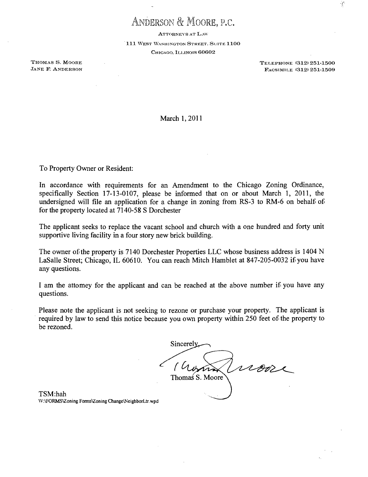## ANDERSON & MOORE, P.C.

ATTORNEYS AT LAW

111 WEST WASHINGTON STREET. SUITE 1100 CHICAGO, ILLINOIS 60602

THOMAS S. MOORE THOMAS S. THE SERVICE SERVICE SERVICE SERVICE SERVICE SERVICE SERVICE SERVICE SERVICE SERVICE SERVICE SERVICE SERVICE SERVICE SERVICE SERVICE SERVICE SERVICE SERVICE SERVICE SERVICE SERVICE SERVICE SERVICE JANE F. ANDERSON **FACSIMILE** (312) 251-1509

March 1,2011

To Property Owner or Resident:

In accordance with requirements for an Amendment to the Chicago Zoning Ordinance, specifically Section 17-13-0107, please be informed that on or about March 1, 2011, the undersigned will file an application for a change in zoning from RS-3 to RM-6 on behalf of for the property located at 7140-58 S Dorchester

The applicant seeks to replace the vacant school and church with a one hundred and forty unit supportive living facility in a four story new brick building.

The owner of the property is 7140 Dorchester Properties LLC whose business address is 1404 N LaSalle Street; Chicago, IL 60610. You can reach Mitch Hamblet at 847-205-0032 if you have any questions.

I am the attomey for the applicant and can be reached at the above number if you have any questions.

Please note the applicant is not seeking to rezone or purchase your property. The applicant is required by law to send this notice because you own property within 250 feet of the property to be rezoned.

**Sincerely** nove **f**  Thomas S. Moore

TSM:hah W;\FORMS\Zoning Fomis\Zoning Change\NeighborLtr.wpd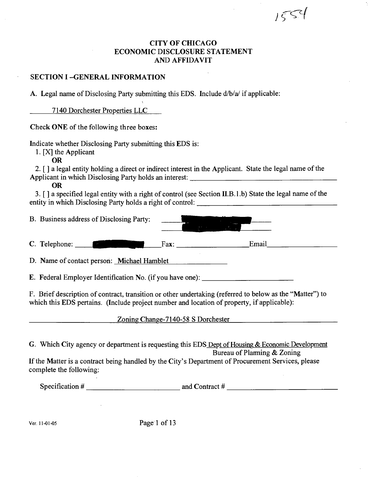## **CITY OF CHICAGO ECONOMIC DISCLOSURE STATEMENT AND AFFIDAVIT**

 $1554$ 

## **SECTION I -GENERAL INFORMATION**

A. Legal name of Disclosing Party submitting this EDS. Include  $d/b/a$  if applicable:

7140 Dorchester Properties LLC

**Check ONE of the following three boxes:** 

Indicate whether Disclosing Party submitting this EDS is:

1. [X] the Applicant

OR

2. [ ] a legal entity holding a direct or indirect interest in the Applicant. State the legal name ofthe Applicant in which Disclosing Party holds an interest:

#### OR

3. [ ] a specified legal entity with a right of control (see Section II.B.l.b) State the legal name ofthe entity in which Disclosing Party holds a right of control:

| B. Business address of Disclosing Party:                                                                                                                                                                                             |             |       |
|--------------------------------------------------------------------------------------------------------------------------------------------------------------------------------------------------------------------------------------|-------------|-------|
| C. Telephone: <b>Exercise 2.1 Figure 2.1 Figure 2.1 Figure 2.1 Figure 2.1 Figure 2.1 Figure 2.1 Figure 2.1 Figure 2.1 Figure 2.1 Figure 2.1 Figure 2.1 Figure 2.1 Figure 2.1 Figure 2.1 Figure 2.1 Figure 2.1 Figure 2.1 Figure </b> | Fax:        | Email |
| D. Name of contact person: Michael Hamblet                                                                                                                                                                                           |             |       |
| E. Federal Employer Identification No. (if you have one): ______________________                                                                                                                                                     |             |       |
| F. Brief description of contract, transition or other undertaking (referred to below as the "Matter") to<br>which this EDS pertains. (Include project number and location of property, if applicable):                               |             |       |
|                                                                                                                                                                                                                                      | $7 - 1 - 0$ |       |

Zoning Change-7140-58 S Dorchester

G. Which City agency or department is requesting this EDS Dept of Housing & Economic Development Bureau of Plarming & Zoning If the Matter is a contract being handled by the City's Department of Procurement Services, please

complete the following:

Specification # and Contract #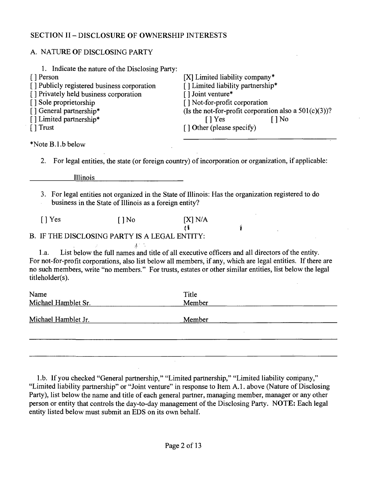## **SECTION II - DISCLOSURE OF OWNERSHIP INTERESTS**

## A. NATURE OF DISCLOSING PARTY

| 1. Indicate the nature of the Disclosing Party:<br>[] Person<br>[] Publicly registered business corporation<br>[] Privately held business corporation<br>[] Sole proprietorship<br>[] General partnership*<br>[] Limited partnership*<br>[ ] Trust | [X] Limited liability company*<br>[] Limited liability partnership*<br>[] Joint venture*<br>[] Not-for-profit corporation<br>(Is the not-for-profit corporation also a $501(c)(3)$ )?<br>$\lceil$   Yes<br>$\lceil \cdot \rceil$ No<br>$\lceil$ 1 Other (please specify) |
|----------------------------------------------------------------------------------------------------------------------------------------------------------------------------------------------------------------------------------------------------|--------------------------------------------------------------------------------------------------------------------------------------------------------------------------------------------------------------------------------------------------------------------------|
| *Note B.1.b below                                                                                                                                                                                                                                  |                                                                                                                                                                                                                                                                          |
| 2.                                                                                                                                                                                                                                                 | For legal entities, the state (or foreign country) of incorporation or organization, if applicable:                                                                                                                                                                      |
| <i>Illinois</i>                                                                                                                                                                                                                                    |                                                                                                                                                                                                                                                                          |
| 3. For legal entities not organized in the State of Illinois: Has the organization registered to do<br>business in the State of Illinois as a foreign entity?                                                                                      |                                                                                                                                                                                                                                                                          |
| $\lceil \cdot \rceil$ Yes<br>$\lceil$   No                                                                                                                                                                                                         | [X] N/A<br>Ŷ                                                                                                                                                                                                                                                             |
| B. IF THE DISCLOSING PARTY IS A LEGAL ENTITY:                                                                                                                                                                                                      |                                                                                                                                                                                                                                                                          |
| $\Lambda$ .<br>1.a.<br>no such members, write "no members." For trusts, estates or other similar entities, list below the legal<br>titleholder(s).                                                                                                 | List below the full names and title of all executive officers and all directors of the entity.<br>For not-for-profit corporations, also list below all members, if any, which are legal entities. If there are                                                           |
| Name                                                                                                                                                                                                                                               | Title                                                                                                                                                                                                                                                                    |
| Michael Hamblet Sr.                                                                                                                                                                                                                                | Member                                                                                                                                                                                                                                                                   |
| Michael Hamblet Jr.                                                                                                                                                                                                                                | Member                                                                                                                                                                                                                                                                   |
|                                                                                                                                                                                                                                                    |                                                                                                                                                                                                                                                                          |

1.b. If you checked "General partnership," "Limited partnership," "Limited liability company," "Limited liability partnership" or "Joint venture" in response to Item A.1. above (Nature of Disclosing Party), list below the name and title of each general partner, managing member, manager or any other person or entity that controls the day-to-day management of the Disclosing Party. NOTE: Each legal entity listed below must submit an EDS on its own behalf.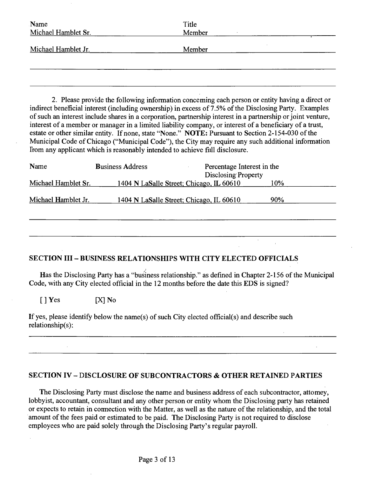| Name                | Title  |  |
|---------------------|--------|--|
| Michael Hamblet Sr. | Member |  |
| Michael Hamblet Jr. | Member |  |
|                     |        |  |

2. Please provide the following information conceming each person or entity having a direct or indirect beneficial interest (including ownership) in excess of 7.5% of the Disclosing Party. Examples of such an interest include shares in a corporation, partnership interest in a partnership or joint venture, interest of a member or manager in a limited liability company, or interest of a beneficiary of a trust, estate or other similar entity. If none, state "None." NOTE: Pursuant to Section 2-154-030 of the Municipal Code of Chicago ("Municipal Code"), the City may require any such additional information Irom any applicant which is reasonably intended to achieve fiill disclosure.

| Name                | <b>Business Address</b> | Percentage Interest in the<br>Disclosing Property |     |  |
|---------------------|-------------------------|---------------------------------------------------|-----|--|
| Michael Hamblet Sr. |                         | 1404 N LaSalle Street; Chicago, IL 60610          | 10% |  |
| Michael Hamblet Jr. |                         | 1404 N LaSalle Street; Chicago, IL 60610          | 90% |  |
|                     |                         |                                                   |     |  |

## **SECTION III - BUSINESS RELATIONSHIPS WITH CITY ELECTED OFFICIALS**

Has the Disclosing Party has a "business relationship." as defined in Chapter 2-156 of the Municipal Code, with any City elected official in the 12 months before the date this EDS is signed?

 $[ ] Yes$   $[ X ] No$ 

If yes, please identify below the name(s) of such City elected official(s) and describe such relationship(s):

## **SECTION IV - DISCLOSURE OF SUBCONTRACTORS & OTHER RETAINED PARTIES**

The Disclosing Party must disclose the name and business address of each subcontractor, attomey, lobbyist, accountant, consultant and any other person or entity whom the Disclosing party has retained or expects to retain in cormection with the Matter, as well as the nature of the relationship, and the total amount of the fees paid or estimated to be paid. The Disclosing Party is not required to disclose employees who are paid solely through the Disclosing Party's regular payroll.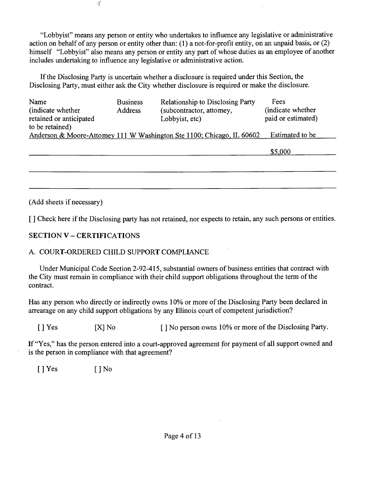"Lobbyist" means any person or entity who undertakes to influence any legislative or administrative action on behalf of any person or entity other than: (1) a not-for-profit entity, on an unpaid basis, or (2) himself "Lobbyist" also means any person or entity any part of whose duties as an employee of another includes undertaking to influence any legislative or administrative action.

If the Disclosing Party is uncertain whether a disclosure is required under this Section, the Disclosing Party, must either ask the City whether disclosure is required or make the disclosure.

| Name<br>(indicate whether) | <b>Business</b><br>Address | <b>Relationship to Disclosing Party</b><br>(subcontractor, attomey,   | Fees<br>(indicate whether |
|----------------------------|----------------------------|-----------------------------------------------------------------------|---------------------------|
| retained or anticipated    |                            | Lobbyist, etc)                                                        | paid or estimated)        |
| to be retained)            |                            |                                                                       |                           |
|                            |                            | Anderson & Moore-Attomey 111 W Washington Ste 1100; Chicago, IL 60602 | Estimated to be           |
|                            |                            |                                                                       |                           |
|                            |                            |                                                                       | \$5,000                   |

(Add sheets if necessary)

**[ ] Check here if the Disclosing party has not retained, nor expects to retain, any such persons or entities.** 

## **SECTION V - CERTIFICATIONS**

 $\mathcal{L}$ 

## A. COURT-ORDERED CHILD SUPPORT COMPLIANCE

Under Municipal Code Section 2-92-415, substantial owners of business entities that contract with the City must remain in compliance with their child support obligations throughout the term of the contract.

Has any person who directly or indirectly owns 10% or more of the Disclosing Party been declared in arrearage on any child support obligations by any Illinois court of competent jurisdiction?

[ ] Yes [X] No [ ] No person owns 10% or more of the Disclosing Party.

If "Yes," has the person entered into a court-approved agreement for payment of all support owned and is the person in compliance with that agreement?

 $[ ]$  Yes  $[ ]$  No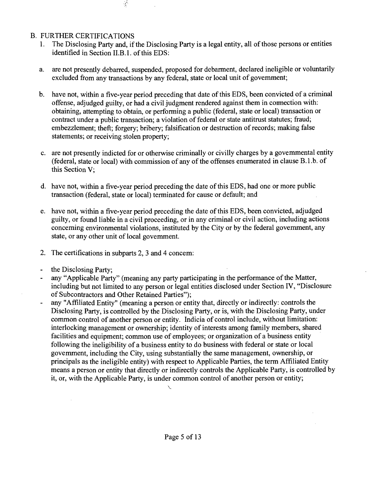## B. FURTHER CERTIFICATIONS

 $\frac{1}{\sqrt{2}}$ 

- 1. The Disclosing Party and, if the Disclosing Party is a legal entity, all of those persons or entities identified in Section II.B.1. of this EDS:
- a. are not presently debarred, suspended, proposed for debarment, declared ineligible or voluntarily excluded from any transactions by any federal, state or local unit of govemment;
- b. have not, within a five-year period preceding that date of this EDS, been convicted of a criminal offense, adjudged guilty, or had a civil judgment rendered against them in cormection with: obtaining, attempting to obtain, or performing a public (federal, state or local) transaction or contract under a public transaction; a violation of federal or state antitrust statutes; fraud; embezzlement; theft; forgery; bribery; falsification or destruction of records; making false statements; or receiving stolen property;
- c. are not presently indicted for or otherwise criminally or civilly charges by a govemmental entity (federal, state or local) with commission of any of the offenses enumerated in clause B. 1 .b. of this Section V;
- d. have not, within a five-year period preceding the date of this EDS, had one or more public transaction (federal, state or local) terminated for cause or default; and
- e. have not, within a five-year period preceding the date of this EDS, been convicted, adjudged guilty, or found liable in a civil proceeding, or in any criminal or civil action, including actions conceming environmental violations, instituted by the City or by the federal govemment, any state, or any other unit of local govemment.
- 2. The certifications in subparts 2, 3 and 4 concem:
- the Disclosing Party;

 $\mathcal{L}_{\mathcal{A}}$ 

- any "Applicable Party" (meaning any party participating in the performance of the Matter, including but not limited to any person or legal entities disclosed under Section IV, "Disclosure of Subcontractors and Other Retained Parties");
- any "Affiliated Entity" (meaning a person or entity that, directly or indirectly: controls the Disclosing Party, is controlled by the Disclosing Party, or is, with the Disclosing Party, under common control of another person or entity. Indicia of control include, without limitation: interlocking management or ownership; identity of interests among family members, shared facilities and equipment; common use of employees; or organization of a business entity following the ineligibility of a business entity to do business with federal or state or local govemment, including the City, using substantially the same management, ownership, or principals as the ineligible entity) with respect to Applicable Parties, the term Affiliated Entity means a person or entity that directly or indirectly controls the Applicable Party, is controlled by it, or, with the Applicable Party, is under common control of another person or entity;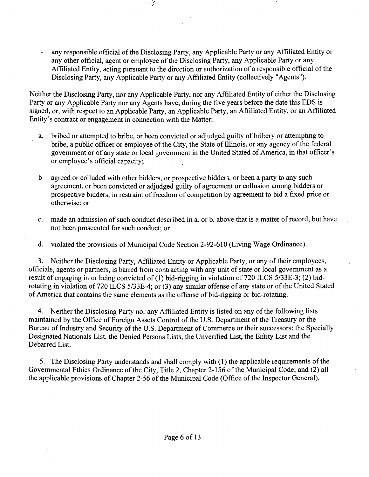- any responsible official of the Disclosing Party, any Applicable Party or any Affiliated Entity or any other official, agent or employee of the Disclosing Party, any Applicable Party or any Affiliated Entity, acting pursuant to the direction or authorization of a responsible official of the Disclosing Party, any Applicable Party or any Affiliated Entity (collectively "Agents").

 $\mathcal{I}$ 

Neither the Disclosing Party, nor any Applicable Party, nor any Affiliated Entity of either the Disclosing Party or any Applicable Party nor any Agents have, during the five years before the date this EDS is signed, or, with respect to an Applicable Party, an Applicable Party, an Affiliated Entity, or an Affiliated Entity's contract or engagement in connection with the Matter:

- a. bribed or attempted to bribe, or been convicted or adjudged guilty of bribery or attempting to bribe, a public officer or employee of the City, the State of Illinois, or any agency of the federal govemment or of any state or local govemment in the United Stated of America, in that officer's or employee's official capacity;
- b agreed or colluded with other bidders, or prospective bidders, or been a party to any such agreement, or been convicted or adjudged guilty of agreement or collusion among bidders or prospective bidders, in restraint of freedom of competition by agreement to bid a fixed price or otherwise; or
- c. made an admission of such conduct described in a. or b. above that is a matter of record, but have not been prosecuted for such conduct; or
- d. violated the provisions of Municipal Code Section 2-92-610 (Living Wage Ordinance).

3. Neither the Disclosing Party, Affiliated Entity or Applicable Party, or any of their employees, officials, agents or partners, is barred from contracting with any unit of state or local govemment as a result of engaging in or being convicted of (1) bid-rigging in violation of 720 ILCS 5/33E-3; (2) bidrotating in violation of 720 ILCS 5/33E-4; or (3) any similar offense of any state or of the United Stated of America that contains the same elements as the offense of bid-rigging or bid-rotating.

4. Neither the Disclosing Party nor any Affiliated Entity is listed on any of the following lists maintained by the Office of Foreign Assets Control of the U.S. Department of the Treasury or the Bureau of Industry and Security of the U.S. Department of Commerce or their successors: the Specially Designated Nationals List, the Denied Persons Lists, the Unverified List, the Entity List and the Debarred List.

5. The Disclosing Party understands and shall comply with (1) the applicable requirements ofthe Govemmental Ethics Ordinance of the City, Title 2, Chapter 2-156 of the Municipal Code; and (2) all the applicable provisions of Chapter 2-56 of the Municipal Code (Office of the Inspector General).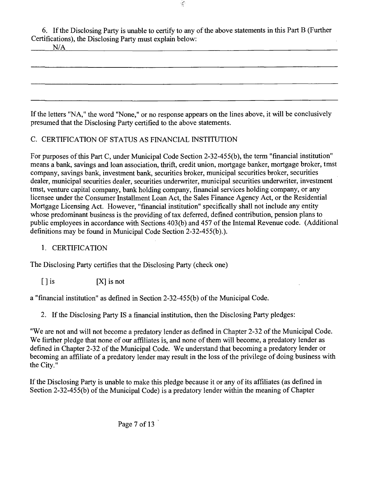6. If the Disclosing Party is unable to certify to any of the above statements in this Part B (Further Certifications), the Disclosing Party must explain below:

 $\mathcal{L}$ 

|--|

If the letters "NA," the word "None," or no response appears on the lines above, it will be conclusively presumed that the Disclosing Party certified to the above statements.

## C. CERTIFICATION OF STATUS AS FINANCIAL INSTITUTION

For purposes of this Part C, under Municipal Code Section 2-32-455(b), the term "financial institution" means a bank, savings and loan association, thrift, credit union, mortgage banker, mortgage broker, tmst company, savings bank, investment bank, securities broker, municipal securities broker, securities dealer, municipal securities dealer, securities underwriter, municipal securities underwriter, investment tmst, venture capital company, bank holding company, financial services holding company, or any licensee under the Consumer Installment Loan Act, the Sales Finance Agency Act, or the Residential Mortgage Licensing Act. However, "financial institution" specifically shall not include any entity whose predominant business is the providing of tax deferred, defined contribution, pension plans to public employees in accordance with Sections 403(b) and 457 of the Intemal Revenue code. (Additional definitions may be found in Municipal Code Section 2-32-455(b).).

## 1. CERTIFICATION

The Disclosing Party certifies that the Disclosing Party (check one)

 $[ ]$  is  $[X]$  is not

a "financial institution" as defined in Section 2-32-455(b) of the Municipal Code.

2. If the Disclosing Party IS a financial institution, then the Disclosing Party pledges:

"We are not and will not become a predatory lender as defined in Chapter 2-32 of the Municipal Code. We fiirther pledge that none of our affiliates is, and none of them will become, a predatory lender as defined in Chapter 2-32 of the Municipal Code. We understand that becoming a predatory lender or becoming an affiliate of a predatory lender may result in the loss of the privilege of doing business with the City."

If the Disclosing Party is unable to make this pledge because it or any of its affiliates (as defined in Section 2-32-455(b) of the Municipal Code) is a predatory lender within the meaning of Chapter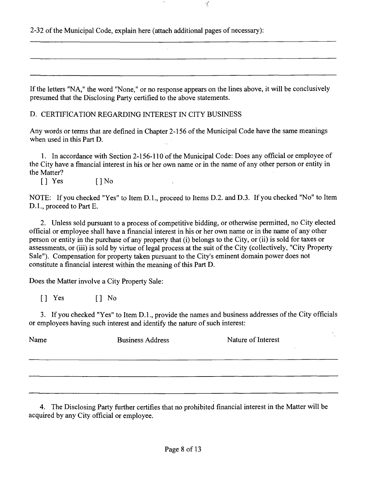2-32 of the Municipal Code, explain here (attach additional pages of necessary):

If the letters "NA," the word "None," or no response appears on the lines above, it will be conclusively presumed that the Disclosing Party certified to the above statements.

Ŷ,

D. CERTIFICATION REGARDING INTEREST IN CITY BUSINESS

Any words or terms that are defined in Chapter 2-156 of the Municipal Code have the same meanings when used in this Part D.

1. In accordance with Section 2-156-110 of the Municipal Code: Does any official or employee of the City have a fmancial interest in his or her own name or in the name of any other person or entity in the Matter?

[] Yes [] No

NOTE: If you checked "Yes" to Item D.1., proceed to Items D.2. and D.3. If you checked "No" to Item D.L, proceed to Part E.

2. Unless sold pursuant to a process of competitive bidding, or otherwise permitted, no City elected official or employee shall have a financial interest in his or her own name or in the name of any other person or entity in the purchase of any property that (i) belongs to the City, or (ii) is sold for taxes or assessments, or (iii) is sold by virtue of legal process at the suit of the City (collectively, "City Property Sale"). Compensation for property taken pursuant to the City's eminent domain power does not constitute a financial interest within the meaning of this Part D.

Does the Matter involve a City Property Sale:

[] Yes [] No

3. If you checked "Yes" to Item D.1., provide the names and business addresses of the City officials or employees having such interest and identify the nature of such interest:

| Name | <b>Business Address</b> | Nature of Interest |  |
|------|-------------------------|--------------------|--|
|      |                         |                    |  |
|      |                         |                    |  |
|      |                         |                    |  |
|      |                         |                    |  |

4. The Disclosing Party further certifies that no prohibited financial interest in the Matter will be acquired by any City official or employee.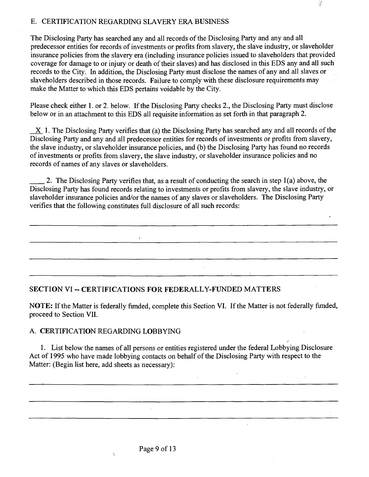## E. CERTIFICATION REGARDING SLAVERY ERA BUSINESS

The Disclosing Party has searched any and all records of the Disclosing Party and any and all predecessor entities for records of investments or profits from slavery, the slave industry, or slaveholder insurance policies from the slavery era (including insurance policies issued to slaveholders that provided coverage for damage to or injury or death of their slaves) and has disclosed in this EDS any and all such records to the City. In addition, the Disclosing Party must disclose the names of any and all slaves or slaveholders described in those records. Failure to comply with these disclosure requirements may make the Matter to which this EDS pertains voidable by the City.

Please check either 1. or 2. below. If the Disclosing Party checks 2., the Disclosing Party must disclose below or in an attachment to this EDS all requisite information as set forth in that paragraph 2.

 $X$  1. The Disclosing Party verifies that (a) the Disclosing Party has searched any and all records of the Disclosing Party and any and all predecessor entities for records of investments or profits firom slavery, the slave industry, or slaveholder insurance policies, and (b) the Disclosing Party has found no records of investments or profits from slavery, the slave industry, or slaveholder insurance policies and no records of names of any slaves or slaveholders.

2. The Disclosing Party verifies that, as a result of conducting the search in step 1(a) above, the Disclosing Party has found records relating to investments or profits from slavery, the slave industry, or slaveholder insurance policies and/or the names of any slaves or slaveholders. The Disclosing Party verifies that the following constitutes full disclosure of all such records:

<u> 1980 - Jan Sterling von Berling von Berling von Berling von Berling von Berling von Berling von Berling von B</u>

## **SECTION VI - CERTIFICATIONS FOR FEDERALLY-FUNDED MATTERS**

NOTE: If the Matter is federally fimded, complete this Section VI. If the Matter is not federally fimded, proceed to Section VII.

## A. CERTIFICATION REGARDING LOBBYING

À

1. List below the names of all persons or entities registered under the federal Lobbying Disclosure Act of 1995 who have made lobbying contacts on behalf of the Disclosing Party with respect to the Matter: (Begin list here, add sheets as necessary):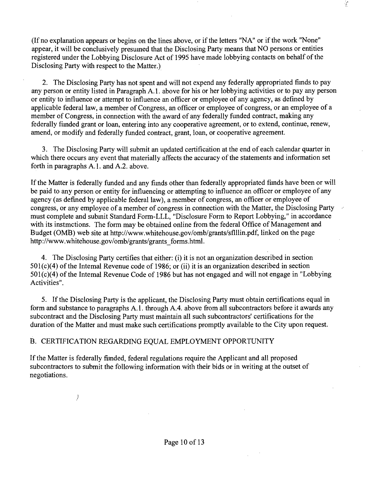(If no explanation appears or begins on the lines above, or if the letters "NA" or if the work "None" appear, it will be conclusively presumed that the Disclosing Party means that NO persons or entities registered under the Lobbying Disclosure Act of 1995 have made lobbying contacts on behalf of the Disclosing Party with respect to the Matter.)

ý.

2. The Disclosing Party has not spent and will not expend any federally appropriated fimds to pay any person or entity listed in Paragraph A. 1. above for his or her lobbying activities or to pay any person or entity to influence or attempt to influence an officer or employee of any agency, as defined by applicable federal law, a member of Congress, an officer or employee of congress, or an employee of a member of Congress, in connection with the award of any federally fimded contract, making any federally fimded grant or loan, entering into any cooperative agreement, or to extend, continue, renew, amend, or modify and federally funded contract, grant, loan, or cooperative agreement.

3. The Disclosing Party will submit an updated certification at the end of each calendar quarter in which there occurs any event that materially affects the accuracy of the statements and information set forth in paragraphs A.l . and A.2. above.

If the Matter is federally funded and any fimds other than federally appropriated fimds have been or will be paid to any person or entity for influencing or attempting to influence an officer or employee of any agency (as defined by applicable federal law), a member of congress, an officer or employee of congress, or any employee of a member of congress in connection with the Matter, the Disclosing Party must complete and submit Standard Form-LLL, "Disclosure Form to Report Lobbying," in accordance with its instmctions. The form may be obtained online from the federal Office of Management and Budget (OMB) web site at http://www.whitehouse.gov/omb/grants/sflllin.pdf, linked on the page http://www.whitehouse.gov/omb/grants/grants\_forms.html.

4. The Disclosing Party certifies that either: (i) it is not an organization described in section 501(c)(4) of the Intemal Revenue code of 1986; or (ii) it is an organization described in section 501(c)(4) of the Intemal Revenue Code of 1986 but has not engaged and will not engage in "Lobbying Activities".

5. If the Disclosing Party is the applicant, the Disclosing Party must obtain certifications equal in form and substance to paragraphs A.l . through A.4. above from all subcontractors before it awards any subcontract and the Disclosing Party must maintain all such subcontractors' certifications for the duration of the Matter and must make such certifications promptly available to the City upon request.

## B. CERTIFICATION REGARDING EQUAL EMPLOYMENT OPPORTUNITY

If the Matter is federally fiinded, federal regulations require the Applicant and all proposed subcontractors to submit the following information with their bids or in writing at the outset of negotiations.

 $\left\langle \right\rangle$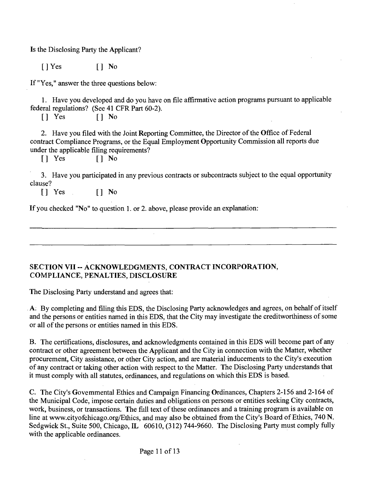Is the Disclosing Party the Applicant?

 $[$  | Yes  $[$  | No

If "Yes," answer the three questions below:

1. Have you developed and do you have on file affirmative action programs pursuant to applicable federal regulations? (See 41 CFR Part 60-2).

[] Yes [] No

2. Have you filed with the Joint Reporting Committee, the Director of the Office of Federal contract Compliance Programs, or the Equal Employment Opportunity Commission all reports due under the applicable filing requirements?

[] Yes [] No

3. Have you participated in any previous contracts or subcontracts subject to the equal opportunity clause?

 $\begin{array}{ccc} \n\begin{array}{ccc} \n\begin{array}{ccc} \n\end{array} & \n\end{array}$   $\begin{array}{ccc} \n\end{array}$   $\begin{array}{ccc} \n\end{array}$  No

If you checked "No" to question 1. or 2. above, please provide an explanation:

## **SECTION VII - ACKNOWLEDGMENTS, CONTRACT INCORPORATION, COMPLIANCE, PENALTIES, DISCLOSURE**

 $\mathbb{R}^2$ 

The Disclosing Party understand and agrees that:

. A; By completing and filing this EDS, the Disclosing Party acknowledges and agrees, on behalf of itself and the persons or entities named in this EDS, that the City may investigate the creditworthiness of some or all of the persons or entities named in this EDS.

B. The certifications, disclosures, and acknowledgments contained in this EDS will become part of any contract or other agreement between the Applicant and the City in connection with the Matter, whether procurement. City assistance, or other City action, and are material inducements to the City's execution of any contract or taking other action with respect to the Matter. The Disclosing Party understands that it must comply with all statutes, ordinances, and regulations on which this EDS is based.

C. The City's Govemmental Ethics and Campaign Financing Ordinances, Chapters 2-156 and 2-164 of the Municipal Code, impose certain duties and obligations on persons or entities seeking City contracts, work, business, or transactions. The fiill text of these ordinances and a training program is available on line at www.cityofchicago.org/Ethics, and may also be obtained from the City's Board of Ethics, 740 N. Sedgwick St., Suite 500, Chicago, IL 60610, (312) 744-9660. The Disclosing Party must comply fully with the applicable ordinances.

Page 11 of 13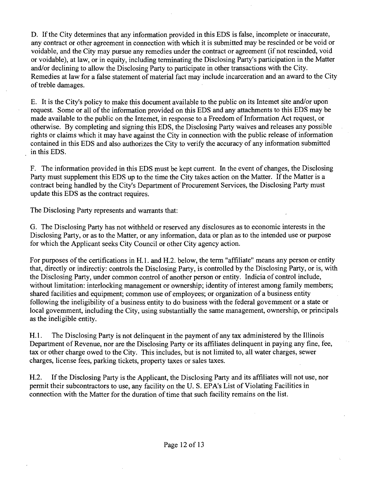D. If the City determines that any information provided in this EDS is false, incomplete or inaccurate, any contract or other agreement in connection with which it is submitted may be rescinded or be void or voidable, and the City may pursue any remedies under the contract or agreement (if not rescinded, void or voidable), at law, or in equity, including terminating the Disclosing Party's participation in the Matter and/or declining to allow the Disclosing Party to participate in other transactions with the City. Remedies at law for a false statement of material fact may include incarceration and an award to the City of treble damages.

E. It is the City's policy to make this document available to the public on its Intemet site and/or upon request. Some or all of the information provided on this EDS and any attachments to this EDS may be made available to the public on the Intemet, in response to a Freedom of Information Act request, or otherwise. By completing and signing this EDS, the Disclosing Party waives and releases any possible rights or claims which it may have against the City in connection with the public release of information contained in this EDS and also authorizes the City to verify the accuracy of any information submitted in this EDS.

F. The information provided in this EDS must be kept current. In the event of changes, the Disclosing Party must supplement this EDS up to the time the City takes action on the Matter. If the Matter is a contract being handled by the City's Department of Procurement Services, the Disclosing Party must update this EDS as the contract requires.

The Disclosing Party represents and warrants that:

G. The Disclosing Party has not withheld or reserved any disclosures as to economic interests in the Disclosing Party, or as to the Matter, or any information, data or plan as to the intended use or purpose for which the Applicant seeks City Council or other City agency action.

For purposes of the certifications in H. 1. and H.2. below, the term "affiliate" means any person or entity that, directly or indirectiy: controls the Disclosing Party, is controlled by the Disclosing Party, or is, with the Disclosing Party, under common control of another person or entity. Indicia of control include, without limitation: interlocking management or ownership; identity of interest among family members; shared facilities and equipment; common use of employees; or organization of a business entity following the ineligibility of a business entity to do business with the federal govemment or a state or local govemment, including the City, using substantially the same management, ownership, or principals as the ineligible entity.

H.1. The Disclosing Party is not delinquent in the payment of any tax administered by the Illinois Department of Revenue, nor are the Disclosing Party or its affiliates delinquent in paying any fine, fee, tax or other charge owed to the City. This includes, but is not limited to, all water charges, sewer charges, license fees, parking tickets, property taxes or sales taxes.

H.2. If the Disclosing Party is the Applicant, the Disclosing Party and its affiliates will not use, nor permit their subcontractors to use, any facility on the U. S. EPA's List of Violating Facilities in connection with the Matter for the duration of time that such facility remains on the list.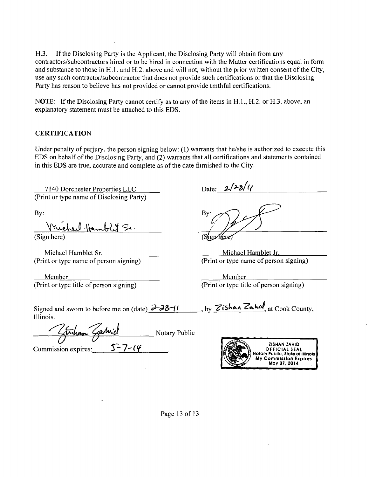H.3. Ifthe Disclosing Party is the Applicant, the Disclosing Party will obtain from any contractors/subcontractors hired or to be hired in connection with the Matter certifications equal in form and substance to those in H.l . and H.2. above and will not, without the prior written consent of the City, use any such contractor/subcontractor that does not provide such certifications or that the Disclosing Party has reason to believe has not provided or cannot provide tmthful certifications.

NOTE: If the Disclosing Party cannot certify as to any of the items in H.1., H.2. or H.3. above, an explanatory statement must be attached to this EDS.

#### **CERTIFICATION**

Under penalty of perjury, the person signing below: (1) warrants that he/she is authorized to execute this EDS on behalf of the Disclosing Party, and (2) warrants that all certifications and statements contained in this EDS are true, accurate and complete as of the date fiimished to the City.

7140 Dorchester Properties LLC (Print or type name of Disclosing Party)

By:

Michel Hamb

(Sign here)

Michael Hamblet Sr. (Print or type name of person signing)

Member (Print or type title of person signing)

Date:  $2/28/11$ 

 $Bv:$ (Shop Here)

Michael Hamblet Jr. (Print or type name of person signing)

Member (Print or type title of person signing)

Signed and swom to before me on (date)  $\frac{\partial^2}{\partial S-1}$ , by Zishan Cahid, at Cook County, Illinois.

Notary Public

Commission expires:\_





Page 13 of 13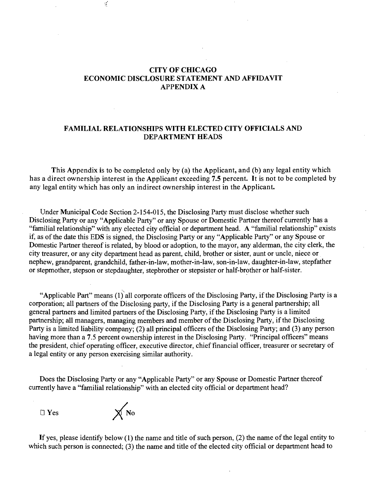## **CITY OF CHICAGO ECONOMIC DISCLOSURE STATEMENT AND AFFIDAVIT APPENDIX A**

## **FAMILIAL RELATIONSHIPS WITH ELECTED CITY OFFICIALS AND DEPARTMENT HEADS**

**This Appendix is to be completed only by (a) the Applicant, and (b) any legal entity which has a direct ownership interest in the Applicant exceeding 7.5 percent. It is not to be completed by any legal entity which has only an indirect ownership interest in the Applicant.** 

Under Municipal Code Section 2-154-015, the Disclosing Party must disclose whether such Disclosing Party or any "Applicable Party" or any Spouse or Domestic Partner thereof currently has a "familial relationship" with any elected city official or department head. A "familial relationship" exists if, as of the date this EDS is signed, the Disclosing Party or any "Applicable Party" or any Spouse or Domestic Partner thereof is related, by blood or adoption, to the mayor, any alderman, the city clerk, the city treasurer, or any city department head as parent, child, brother or sister, aunt or uncle, niece or nephew, grandparent, grandchild, father-in-law, mother-in-law, son-in-law, daughter-in-law, stepfather or stepmother, stepson or stepdaughter, stepbrother or stepsister or half-brother or half-sister.

"Applicable Part" means (1) all corporate officers of the Disclosing Party, if the Disclosing Party is a corporation; all partners of the Disclosing party, if the Disclosing Party is a general partnership; all general partners and limited partners of the Disclosing Party, if the Disclosing Party is a limited partnership; all managers, managing members and member of the Disclosing Party, if the Disclosing Party is a limited liability company; (2) all principal officers of the Disclosing Party; and (3) any person having more than a 7.5 percent ownership interest in the Disclosing Party. "Principal officers" means the president, chief operating officer, executive director, chief financial officer, treasurer or secretary of a legal entity or any person exercising similar authority.

Does the Disclosing Party or any "Applicable Party" or any Spouse or Domestic Partner thereof currently have a "familial relationship" with an elected city official or department head?



 $\mathcal{L}$ 

If yes, please identify below  $(1)$  the name and title of such person,  $(2)$  the name of the legal entity to which such person is connected; (3) the name and title of the elected city official or department head to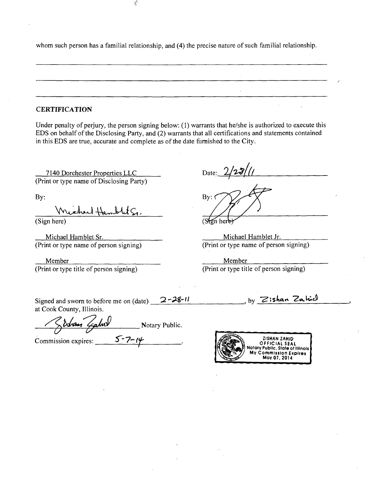whom such person has a familial relationship, and (4) the precise nature of such familial relationship.

 $\frac{1}{\sqrt{2}}$ 

#### **CERTIFICATION**

Under penalty of perjury, the person signing below: (1) warrants that he/she is authorized to execute this EDS on behalf of the Disclosing Party, and (2) warrants that all certifications and statements contained in this EDS are true, accurate and complete as of the date fiimished to the City.

7140 Dorchester Properties LLC (Print or type name of Disclosing Party)

By:

(Sign here)

Michael Hamblet Sr. (Print or type name of person signing)

Member (Print or type title of person signing)

Date:  $2/28/11$  $By: G$  $(Sf2n$  here

Michael Hamblet Jr. (Print or type name of person signing)

Member (Print or type title of person signing)

Signed and sworn to before me on (date)  $2 - 28 - 11$ at Cook County, Illinois.

dran Galwin Notary Public.

Commission expires:  $\frac{5-7-14}{\sqrt{2}}$ .



, by Zishan Zahid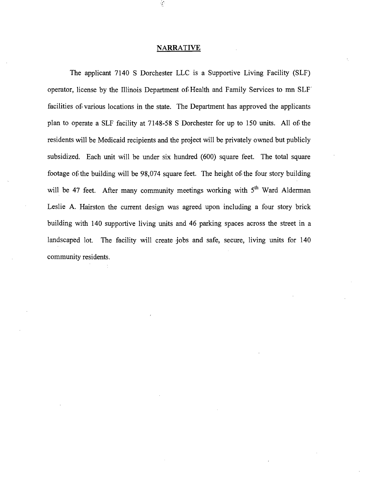#### **NARRATIVE**

 $\frac{1}{2}$ 

The applicant 7140 S Dorchester LLC is a Supportive Living Facility (SLF) operator, license by the Illinois Department of Health and Family Services to mn SLF facilities of various locations in the state. The Department has approved the applicants plan to operate a SLF facility at 7148-58 S Dorchester for up to 150 units. All of the residents will be Medicaid recipients and the project will be privately owned but publicly subsidized. Each unit will be under six hundred (600) square feet. The total square footage of the building will be 98,074 square feet. The height of the four story building will be 47 feet. After many community meetings working with  $5<sup>th</sup>$  Ward Alderman Leslie A. Hairston the current design was agreed upon including a four story brick building with 140 supportive living units and 46 parking spaces across the street in a landscaped lot. The facility will create jobs and safe, secure, living units for 140 community residents.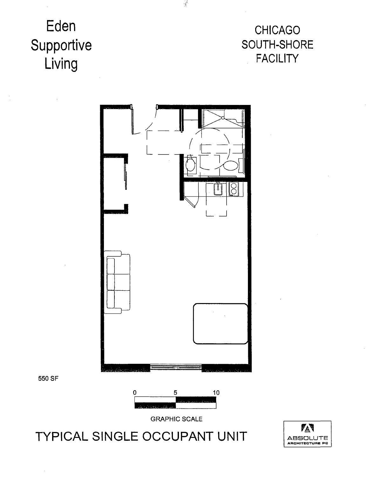**Eden Supportive Living** 

# CHICAGO SOUTH-SHORE **FACILITY**



 $\frac{1}{2}$ 

550 SF



GRAPHIC SCALE

**TYPICAL SINGLE OCCUPANT UNIT** 

**PAN** ABSOLUTE<br>ARCHITECTURE PC